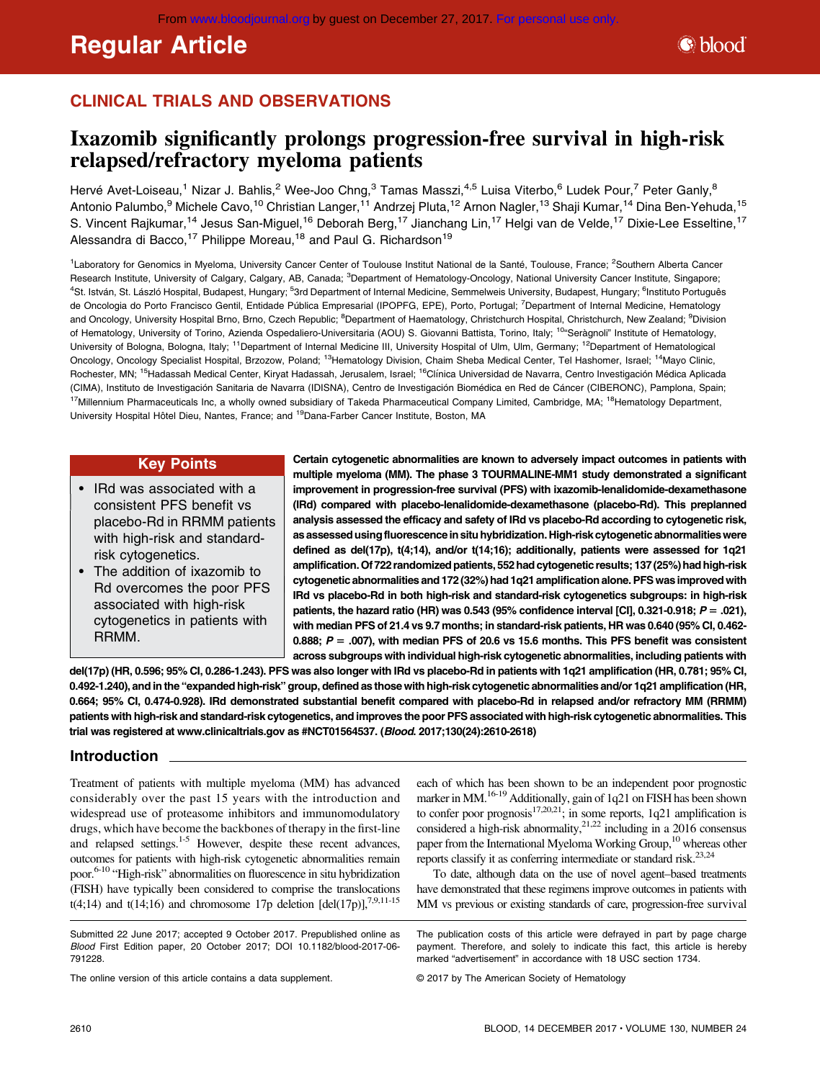# Regular Article

## CLINICAL TRIALS AND OBSERVATIONS

# Ixazomib significantly prolongs progression-free survival in high-risk relapsed/refractory myeloma patients

Hervé Avet-Loiseau,<sup>1</sup> Nizar J. Bahlis,<sup>2</sup> Wee-Joo Chng,<sup>3</sup> Tamas Masszi,<sup>4,5</sup> Luisa Viterbo,<sup>6</sup> Ludek Pour,<sup>7</sup> Peter Ganly,<sup>8</sup> Antonio Palumbo,<sup>9</sup> Michele Cavo,<sup>10</sup> Christian Langer,<sup>11</sup> Andrzej Pluta,<sup>12</sup> Arnon Nagler,<sup>13</sup> Shaji Kumar,<sup>14</sup> Dina Ben-Yehuda,<sup>15</sup> S. Vincent Rajkumar,<sup>14</sup> Jesus San-Miguel,<sup>16</sup> Deborah Berg,<sup>17</sup> Jianchang Lin,<sup>17</sup> Helgi van de Velde,<sup>17</sup> Dixie-Lee Esseltine,<sup>17</sup> Alessandra di Bacco,<sup>17</sup> Philippe Moreau,<sup>18</sup> and Paul G. Richardson<sup>19</sup>

<sup>1</sup>Laboratory for Genomics in Myeloma, University Cancer Center of Toulouse Institut National de la Santé, Toulouse, France; <sup>2</sup>Southern Alberta Cancer Research Institute, University of Calgary, Calgary, AB, Canada; <sup>3</sup>Department of Hematology-Oncology, National University Cancer Institute, Singapore; <sup>4</sup>St. István, St. László Hospital, Budapest, Hungary; <sup>5</sup>3rd Department of Internal Medicine, Semmelweis University, Budapest, Hungary; <sup>6</sup>Instituto Português de Oncologia do Porto Francisco Gentil, Entidade Pública Empresarial (IPOPFG, EPE), Porto, Portugal; <sup>7</sup>Department of Internal Medicine, Hematology and Oncology, University Hospital Brno, Brno, Czech Republic; <sup>8</sup>Department of Haematology, Christchurch Hospital, Christchurch, New Zealand; <sup>9</sup>Division of Hematology, University of Torino, Azienda Ospedaliero-Universitaria (AOU) S. Giovanni Battista, Torino, Italy; <sup>10</sup>"Seràgnoli" Institute of Hematology, University of Bologna, Bologna, Italy; <sup>11</sup>Department of Internal Medicine III, University Hospital of Ulm, Ulm, Germany; <sup>12</sup>Department of Hematological Oncology, Oncology Specialist Hospital, Brzozow, Poland; <sup>13</sup>Hematology Division, Chaim Sheba Medical Center, Tel Hashomer, Israel; <sup>14</sup>Mayo Clinic, Rochester, MN; <sup>15</sup>Hadassah Medical Center, Kiryat Hadassah, Jerusalem, Israel; <sup>16</sup>Clínica Universidad de Navarra, Centro Investigación Médica Aplicada (CIMA), Instituto de Investigación Sanitaria de Navarra (IDISNA), Centro de Investigación Biomédica en Red de Cáncer (CIBERONC), Pamplona, Spain; <sup>17</sup>Millennium Pharmaceuticals Inc, a wholly owned subsidiary of Takeda Pharmaceutical Company Limited, Cambridge, MA; <sup>18</sup>Hematology Department, University Hospital Hôtel Dieu, Nantes, France; and <sup>19</sup>Dana-Farber Cancer Institute, Boston, MA

### Key Points

- IRd was associated with a consistent PFS benefit vs placebo-Rd in RRMM patients with high-risk and standardrisk cytogenetics.
- The addition of ixazomib to Rd overcomes the poor PFS associated with high-risk cytogenetics in patients with RRMM.

Certain cytogenetic abnormalities are known to adversely impact outcomes in patients with multiple myeloma (MM). The phase 3 TOURMALINE-MM1 study demonstrated a significant improvement in progression-free survival (PFS) with ixazomib-lenalidomide-dexamethasone (IRd) compared with placebo-lenalidomide-dexamethasone (placebo-Rd). This preplanned analysis assessed the efficacy and safety of IRd vs placebo-Rd according to cytogenetic risk, as assessed using fluorescence in situ hybridization. High-risk cytogenetic abnormalities were defined as del(17p), t(4;14), and/or t(14;16); additionally, patients were assessed for 1q21 amplification. Of 722 randomized patients, 552 had cytogenetic results; 137 (25%) had high-risk cytogenetic abnormalities and 172 (32%) had 1q21 amplification alone. PFS wasimproved with IRd vs placebo-Rd in both high-risk and standard-risk cytogenetics subgroups: in high-risk patients, the hazard ratio (HR) was 0.543 (95% confidence interval [CI], 0.321-0.918;  $P = .021$ ), with median PFS of 21.4 vs 9.7 months; in standard-risk patients, HR was 0.640 (95% CI, 0.462- 0.888;  $P = .007$ ), with median PFS of 20.6 vs 15.6 months. This PFS benefit was consistent across subgroups with individual high-risk cytogenetic abnormalities, including patients with

del(17p) (HR, 0.596; 95% CI, 0.286-1.243). PFS was also longer with IRd vs placebo-Rd in patients with 1q21 amplification (HR, 0.781; 95% CI, 0.492-1.240), and in the "expanded high-risk" group, defined as those with high-risk cytogenetic abnormalities and/or 1q21 amplification (HR, 0.664; 95% CI, 0.474-0.928). IRd demonstrated substantial benefit compared with placebo-Rd in relapsed and/or refractory MM (RRMM) patients with high-risk and standard-risk cytogenetics, and improves the poor PFS associated with high-risk cytogenetic abnormalities. This trial was registered at [www.clinicaltrials.gov](http://www.clinicaltrials.gov) as #NCT01564537. (Blood. 2017;130(24):2610-2618)

### Introduction

Treatment of patients with multiple myeloma (MM) has advanced considerably over the past 15 years with the introduction and widespread use of proteasome inhibitors and immunomodulatory drugs, which have become the backbones of therapy in the first-line and relapsed settings.<sup>1-5</sup> However, despite these recent advances, outcomes for patients with high-risk cytogenetic abnormalities remain poor.6-10 "High-risk" abnormalities on fluorescence in situ hybridization (FISH) have typically been considered to comprise the translocations t(4;14) and t(14;16) and chromosome 17p deletion  $[del(17p)]$ ,<sup>7,9,11-15</sup>

Submitted 22 June 2017; accepted 9 October 2017. Prepublished online as Blood First Edition paper, 20 October 2017; DOI 10.1182/blood-2017-06- 791228.

The online version of this article contains a data supplement.

each of which has been shown to be an independent poor prognostic marker in MM.<sup>16-19</sup> Additionally, gain of 1q21 on FISH has been shown to confer poor prognosis<sup>17,20,21</sup>; in some reports, 1q21 amplification is considered a high-risk abnormality, $2^{1,22}$  including in a 2016 consensus paper from the International Myeloma Working Group,<sup>10</sup> whereas other reports classify it as conferring intermediate or standard risk.<sup>23,24</sup>

To date, although data on the use of novel agent–based treatments have demonstrated that these regimens improve outcomes in patients with MM vs previous or existing standards of care, progression-free survival

The publication costs of this article were defrayed in part by page charge payment. Therefore, and solely to indicate this fact, this article is hereby marked "advertisement" in accordance with 18 USC section 1734.

© 2017 by The American Society of Hematology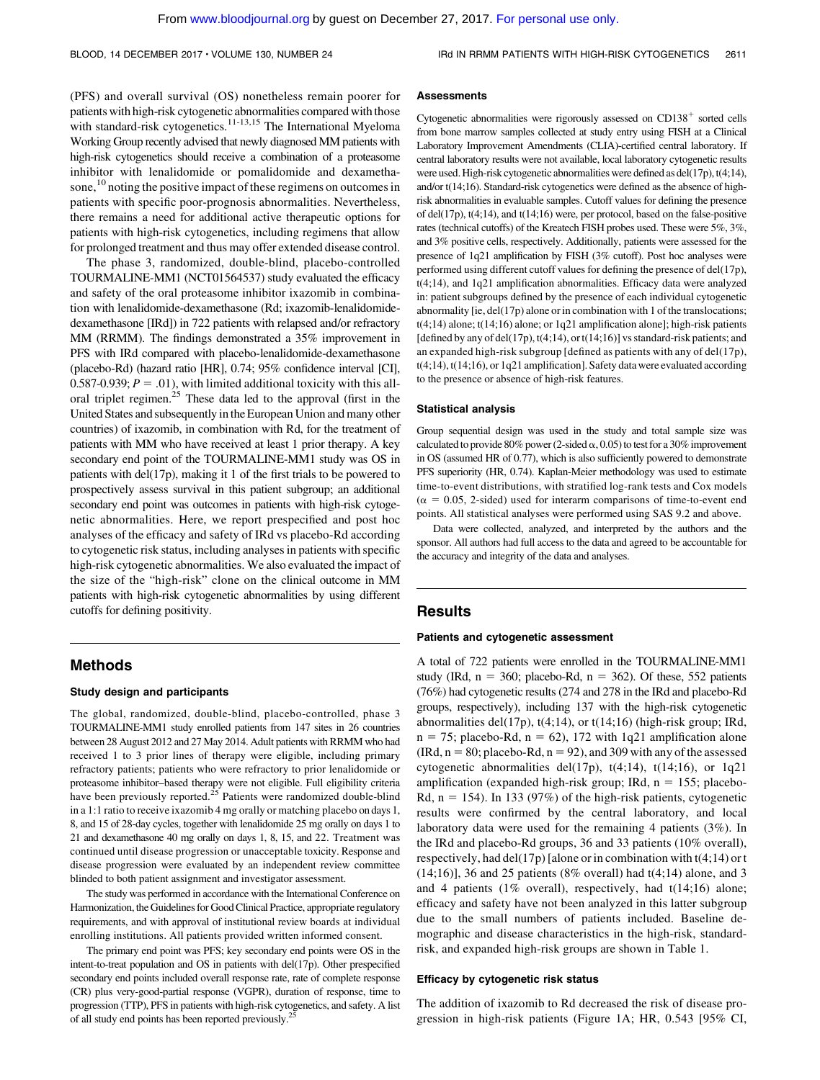(PFS) and overall survival (OS) nonetheless remain poorer for patients with high-risk cytogenetic abnormalities compared with those with standard-risk cytogenetics.<sup>11-13,15</sup> The International Myeloma Working Group recently advised that newly diagnosed MM patients with high-risk cytogenetics should receive a combination of a proteasome inhibitor with lenalidomide or pomalidomide and dexamethasone,<sup>10</sup> noting the positive impact of these regimens on outcomes in patients with specific poor-prognosis abnormalities. Nevertheless, there remains a need for additional active therapeutic options for patients with high-risk cytogenetics, including regimens that allow for prolonged treatment and thus may offer extended disease control.

The phase 3, randomized, double-blind, placebo-controlled TOURMALINE-MM1 (NCT01564537) study evaluated the efficacy and safety of the oral proteasome inhibitor ixazomib in combination with lenalidomide-dexamethasone (Rd; ixazomib-lenalidomidedexamethasone [IRd]) in 722 patients with relapsed and/or refractory MM (RRMM). The findings demonstrated a 35% improvement in PFS with IRd compared with placebo-lenalidomide-dexamethasone (placebo-Rd) (hazard ratio [HR], 0.74; 95% confidence interval [CI], 0.587-0.939;  $P = .01$ ), with limited additional toxicity with this alloral triplet regimen.<sup>25</sup> These data led to the approval (first in the United States and subsequently in the European Union and many other countries) of ixazomib, in combination with Rd, for the treatment of patients with MM who have received at least 1 prior therapy. A key secondary end point of the TOURMALINE-MM1 study was OS in patients with del(17p), making it 1 of the first trials to be powered to prospectively assess survival in this patient subgroup; an additional secondary end point was outcomes in patients with high-risk cytogenetic abnormalities. Here, we report prespecified and post hoc analyses of the efficacy and safety of IRd vs placebo-Rd according to cytogenetic risk status, including analyses in patients with specific high-risk cytogenetic abnormalities. We also evaluated the impact of the size of the "high-risk" clone on the clinical outcome in MM patients with high-risk cytogenetic abnormalities by using different cutoffs for defining positivity.

### Methods

### Study design and participants

The global, randomized, double-blind, placebo-controlled, phase 3 TOURMALINE-MM1 study enrolled patients from 147 sites in 26 countries between 28 August 2012 and 27 May 2014. Adult patients with RRMM who had received 1 to 3 prior lines of therapy were eligible, including primary refractory patients; patients who were refractory to prior lenalidomide or proteasome inhibitor–based therapy were not eligible. Full eligibility criteria have been previously reported.<sup>25</sup> Patients were randomized double-blind in a 1:1 ratio to receive ixazomib 4 mg orally or matching placebo on days 1, 8, and 15 of 28-day cycles, together with lenalidomide 25 mg orally on days 1 to 21 and dexamethasone 40 mg orally on days 1, 8, 15, and 22. Treatment was continued until disease progression or unacceptable toxicity. Response and disease progression were evaluated by an independent review committee blinded to both patient assignment and investigator assessment.

The study was performed in accordance with the International Conference on Harmonization, the Guidelines for Good Clinical Practice, appropriate regulatory requirements, and with approval of institutional review boards at individual enrolling institutions. All patients provided written informed consent.

The primary end point was PFS; key secondary end points were OS in the intent-to-treat population and OS in patients with del(17p). Other prespecified secondary end points included overall response rate, rate of complete response (CR) plus very-good-partial response (VGPR), duration of response, time to progression (TTP), PFS in patients with high-risk cytogenetics, and safety. A list of all study end points has been reported previously.<sup>25</sup>

### **Assessments**

Cytogenetic abnormalities were rigorously assessed on  $CD138<sup>+</sup>$  sorted cells from bone marrow samples collected at study entry using FISH at a Clinical Laboratory Improvement Amendments (CLIA)-certified central laboratory. If central laboratory results were not available, local laboratory cytogenetic results were used. High-risk cytogenetic abnormalities were defined as del(17p), t(4;14), and/or t(14;16). Standard-risk cytogenetics were defined as the absence of highrisk abnormalities in evaluable samples. Cutoff values for defining the presence of del(17p), t(4;14), and t(14;16) were, per protocol, based on the false-positive rates (technical cutoffs) of the Kreatech FISH probes used. These were 5%, 3%, and 3% positive cells, respectively. Additionally, patients were assessed for the presence of 1q21 amplification by FISH (3% cutoff). Post hoc analyses were performed using different cutoff values for defining the presence of del(17p), t(4;14), and 1q21 amplification abnormalities. Efficacy data were analyzed in: patient subgroups defined by the presence of each individual cytogenetic abnormality [ie, del(17p) alone or in combination with 1 of the translocations; t(4;14) alone; t(14;16) alone; or 1q21 amplification alone]; high-risk patients [defined by any of del(17p),  $t(4;14)$ , or  $t(14;16)$ ] vs standard-risk patients; and an expanded high-risk subgroup [defined as patients with any of del(17p), t(4;14), t(14;16), or 1q21 amplification]. Safety data were evaluated according to the presence or absence of high-risk features.

### Statistical analysis

Group sequential design was used in the study and total sample size was calculated to provide 80% power (2-sided  $\alpha$ , 0.05) to test for a 30% improvement in OS (assumed HR of 0.77), which is also sufficiently powered to demonstrate PFS superiority (HR, 0.74). Kaplan-Meier methodology was used to estimate time-to-event distributions, with stratified log-rank tests and Cox models  $(\alpha = 0.05, 2$ -sided) used for interarm comparisons of time-to-event end points. All statistical analyses were performed using SAS 9.2 and above.

Data were collected, analyzed, and interpreted by the authors and the sponsor. All authors had full access to the data and agreed to be accountable for the accuracy and integrity of the data and analyses.

### Results

### Patients and cytogenetic assessment

A total of 722 patients were enrolled in the TOURMALINE-MM1 study (IRd,  $n = 360$ ; placebo-Rd,  $n = 362$ ). Of these, 552 patients (76%) had cytogenetic results (274 and 278 in the IRd and placebo-Rd groups, respectively), including 137 with the high-risk cytogenetic abnormalities del(17p),  $t(4;14)$ , or  $t(14;16)$  (high-risk group; IRd,  $n = 75$ ; placebo-Rd,  $n = 62$ ), 172 with 1q21 amplification alone  $(IRd, n = 80; placebo-Rd, n = 92)$ , and 309 with any of the assessed cytogenetic abnormalities del(17p), t(4;14), t(14;16), or 1q21 amplification (expanded high-risk group; IRd,  $n = 155$ ; placebo-Rd,  $n = 154$ ). In 133 (97%) of the high-risk patients, cytogenetic results were confirmed by the central laboratory, and local laboratory data were used for the remaining 4 patients (3%). In the IRd and placebo-Rd groups, 36 and 33 patients (10% overall), respectively, had del(17p) [alone or in combination with  $t(4;14)$  or t  $(14;16)$ ], 36 and 25 patients (8% overall) had t(4;14) alone, and 3 and 4 patients (1% overall), respectively, had t(14;16) alone; efficacy and safety have not been analyzed in this latter subgroup due to the small numbers of patients included. Baseline demographic and disease characteristics in the high-risk, standardrisk, and expanded high-risk groups are shown in Table 1.

### Efficacy by cytogenetic risk status

The addition of ixazomib to Rd decreased the risk of disease progression in high-risk patients (Figure 1A; HR, 0.543 [95% CI,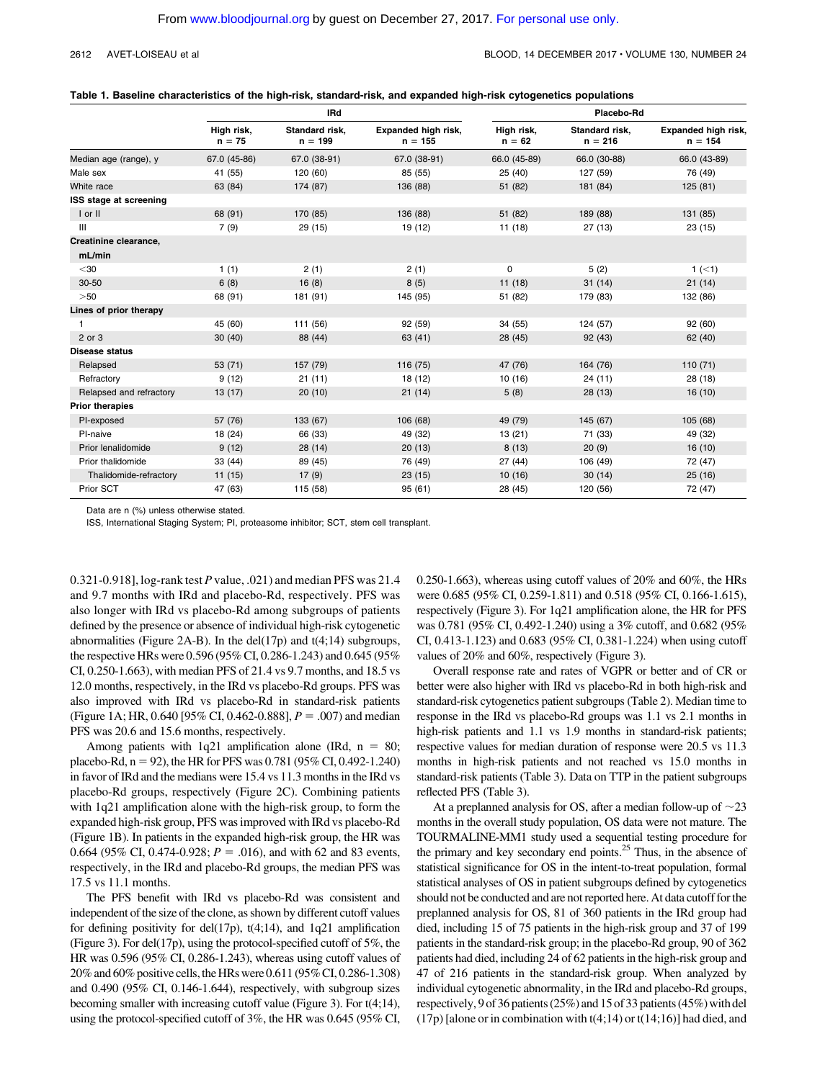### 2612 AVET-LOISEAU et al BLOOD, 14 DECEMBER 2017 · VOLUME 130, NUMBER 24

### Table 1. Baseline characteristics of the high-risk, standard-risk, and expanded high-risk cytogenetics populations

|                         |                        | <b>IRd</b>                  |                                  | Placebo-Rd             |                             |                                  |  |
|-------------------------|------------------------|-----------------------------|----------------------------------|------------------------|-----------------------------|----------------------------------|--|
|                         | High risk,<br>$n = 75$ | Standard risk.<br>$n = 199$ | Expanded high risk,<br>$n = 155$ | High risk,<br>$n = 62$ | Standard risk.<br>$n = 216$ | Expanded high risk,<br>$n = 154$ |  |
| Median age (range), y   | 67.0 (45-86)           | 67.0 (38-91)                | 67.0 (38-91)                     | 66.0 (45-89)           | 66.0 (30-88)                | 66.0 (43-89)                     |  |
| Male sex                | 41 (55)                | 120 (60)                    | 85 (55)                          | 25 (40)                | 127 (59)                    | 76 (49)                          |  |
| White race              | 63 (84)                | 174 (87)                    | 136 (88)                         | 51 (82)                | 181 (84)                    | 125(81)                          |  |
| ISS stage at screening  |                        |                             |                                  |                        |                             |                                  |  |
| I or II                 | 68 (91)                | 170 (85)                    | 136 (88)                         | 51 (82)                | 189 (88)                    | 131 (85)                         |  |
| Ш                       | 7(9)                   | 29 (15)                     | 19 (12)                          | 11(18)                 | 27(13)                      | 23(15)                           |  |
| Creatinine clearance,   |                        |                             |                                  |                        |                             |                                  |  |
| mL/min                  |                        |                             |                                  |                        |                             |                                  |  |
| $30$                    | 1(1)                   | 2(1)                        | 2(1)                             | 0                      | 5(2)                        | 1 $(< 1)$                        |  |
| 30-50                   | 6(8)                   | 16(8)                       | 8(5)                             | 11(18)                 | 31(14)                      | 21(14)                           |  |
| >50                     | 68 (91)                | 181 (91)                    | 145 (95)                         | 51 (82)                | 179 (83)                    | 132 (86)                         |  |
| Lines of prior therapy  |                        |                             |                                  |                        |                             |                                  |  |
|                         | 45 (60)                | 111 (56)                    | 92 (59)                          | 34 (55)                | 124 (57)                    | 92(60)                           |  |
| 2 or 3                  | 30(40)                 | 88 (44)                     | 63 (41)                          | 28 (45)                | 92 (43)                     | 62 (40)                          |  |
| <b>Disease status</b>   |                        |                             |                                  |                        |                             |                                  |  |
| Relapsed                | 53 (71)                | 157 (79)                    | 116 (75)                         | 47 (76)                | 164 (76)                    | 110(71)                          |  |
| Refractory              | 9(12)                  | 21(11)                      | 18 (12)                          | 10(16)                 | 24(11)                      | 28(18)                           |  |
| Relapsed and refractory | 13(17)                 | 20(10)                      | 21(14)                           | 5(8)                   | 28 (13)                     | 16(10)                           |  |
| <b>Prior therapies</b>  |                        |                             |                                  |                        |                             |                                  |  |
| PI-exposed              | 57 (76)                | 133 (67)                    | 106 (68)                         | 49 (79)                | 145 (67)                    | 105(68)                          |  |
| PI-naive                | 18 (24)                | 66 (33)                     | 49 (32)                          | 13(21)                 | 71 (33)                     | 49 (32)                          |  |
| Prior lenalidomide      | 9(12)                  | 28(14)                      | 20(13)                           | 8(13)                  | 20(9)                       | 16(10)                           |  |
| Prior thalidomide       | 33 (44)                | 89 (45)                     | 76 (49)                          | 27(44)                 | 106 (49)                    | 72 (47)                          |  |
| Thalidomide-refractory  | 11(15)                 | 17(9)                       | 23(15)                           | 10(16)                 | 30(14)                      | 25(16)                           |  |
| Prior SCT               | 47 (63)                | 115 (58)                    | 95(61)                           | 28 (45)                | 120 (56)                    | 72 (47)                          |  |

Data are n (%) unless otherwise stated.

ISS, International Staging System; PI, proteasome inhibitor; SCT, stem cell transplant.

0.321-0.918], log-rank test P value, .021) and median PFS was 21.4 and 9.7 months with IRd and placebo-Rd, respectively. PFS was also longer with IRd vs placebo-Rd among subgroups of patients defined by the presence or absence of individual high-risk cytogenetic abnormalities (Figure 2A-B). In the del(17p) and  $t(4;14)$  subgroups, the respective HRs were 0.596 (95% CI, 0.286-1.243) and 0.645 (95% CI, 0.250-1.663), with median PFS of 21.4 vs 9.7 months, and 18.5 vs 12.0 months, respectively, in the IRd vs placebo-Rd groups. PFS was also improved with IRd vs placebo-Rd in standard-risk patients (Figure 1A; HR, 0.640 [95% CI, 0.462-0.888],  $P = .007$ ) and median PFS was 20.6 and 15.6 months, respectively.

Among patients with 1q21 amplification alone (IRd,  $n = 80$ ; placebo-Rd,  $n = 92$ ), the HR for PFS was 0.781 (95% CI, 0.492-1.240) in favor of IRd and the medians were 15.4 vs 11.3 months in the IRd vs placebo-Rd groups, respectively (Figure 2C). Combining patients with 1q21 amplification alone with the high-risk group, to form the expanded high-risk group, PFS was improved with IRd vs placebo-Rd (Figure 1B). In patients in the expanded high-risk group, the HR was 0.664 (95% CI, 0.474-0.928;  $P = .016$ ), and with 62 and 83 events, respectively, in the IRd and placebo-Rd groups, the median PFS was 17.5 vs 11.1 months.

The PFS benefit with IRd vs placebo-Rd was consistent and independent of the size of the clone, as shown by different cutoff values for defining positivity for del(17p), t(4;14), and 1q21 amplification (Figure 3). For del(17p), using the protocol-specified cutoff of 5%, the HR was 0.596 (95% CI, 0.286-1.243), whereas using cutoff values of 20% and 60% positive cells, the HRs were 0.611 (95%CI, 0.286-1.308) and 0.490 (95% CI, 0.146-1.644), respectively, with subgroup sizes becoming smaller with increasing cutoff value (Figure 3). For t(4;14), using the protocol-specified cutoff of 3%, the HR was 0.645 (95% CI,

0.250-1.663), whereas using cutoff values of 20% and 60%, the HRs were 0.685 (95% CI, 0.259-1.811) and 0.518 (95% CI, 0.166-1.615), respectively (Figure 3). For 1q21 amplification alone, the HR for PFS was 0.781 (95% CI, 0.492-1.240) using a 3% cutoff, and 0.682 (95% CI, 0.413-1.123) and 0.683 (95% CI, 0.381-1.224) when using cutoff values of 20% and 60%, respectively (Figure 3).

Overall response rate and rates of VGPR or better and of CR or better were also higher with IRd vs placebo-Rd in both high-risk and standard-risk cytogenetics patient subgroups (Table 2). Median time to response in the IRd vs placebo-Rd groups was 1.1 vs 2.1 months in high-risk patients and 1.1 vs 1.9 months in standard-risk patients; respective values for median duration of response were 20.5 vs 11.3 months in high-risk patients and not reached vs 15.0 months in standard-risk patients (Table 3). Data on TTP in the patient subgroups reflected PFS (Table 3).

At a preplanned analysis for OS, after a median follow-up of  $\sim$ 23 months in the overall study population, OS data were not mature. The TOURMALINE-MM1 study used a sequential testing procedure for the primary and key secondary end points.<sup>25</sup> Thus, in the absence of statistical significance for OS in the intent-to-treat population, formal statistical analyses of OS in patient subgroups defined by cytogenetics should not be conducted and are not reported here. At data cutoff for the preplanned analysis for OS, 81 of 360 patients in the IRd group had died, including 15 of 75 patients in the high-risk group and 37 of 199 patients in the standard-risk group; in the placebo-Rd group, 90 of 362 patients had died, including 24 of 62 patients in the high-risk group and 47 of 216 patients in the standard-risk group. When analyzed by individual cytogenetic abnormality, in the IRd and placebo-Rd groups, respectively, 9 of 36 patients (25%) and 15 of 33 patients (45%) with del  $(17p)$  [alone or in combination with t(4;14) or t(14;16)] had died, and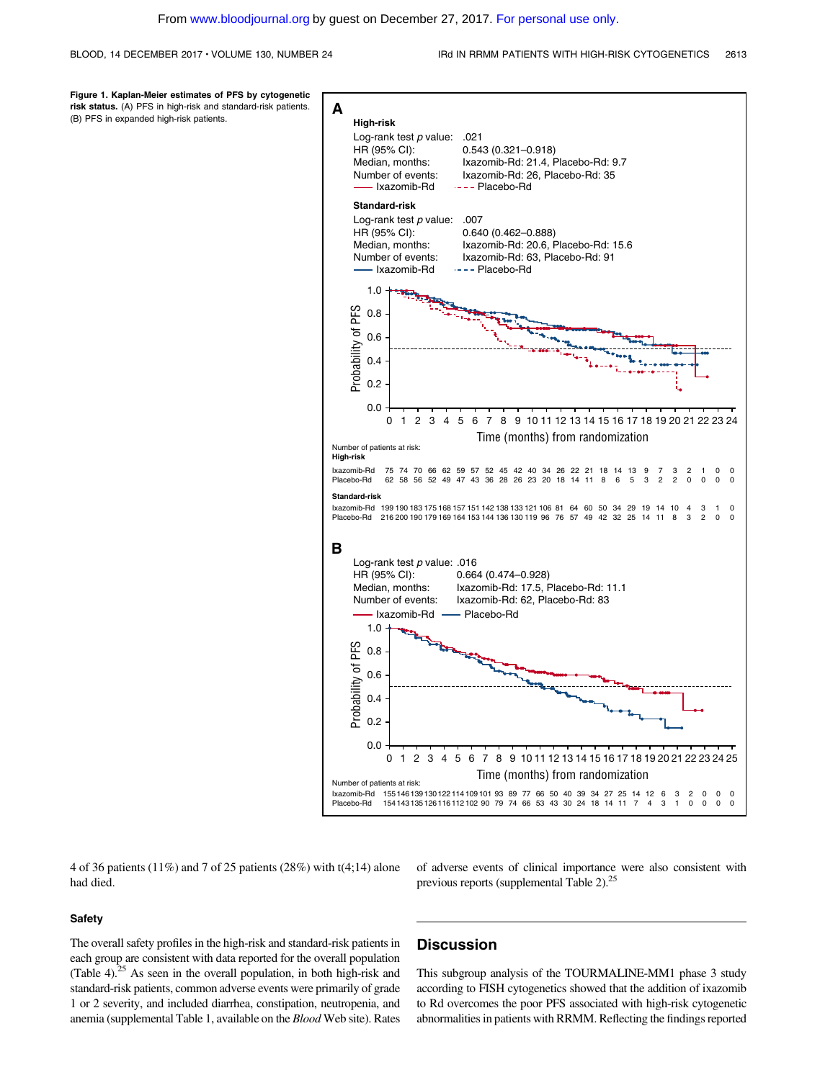BLOOD, 14 DECEMBER 2017 · VOLUME 130, NUMBER 24 IRD 1999 IRd IN RRMM PATIENTS WITH HIGH-RISK CYTOGENETICS 2613

Figure 1. Kaplan-Meier estimates of PFS by cytogenetic risk status. (A) PFS in high-risk and standard-risk patients. (B) PFS in expanded high-risk patients.



4 of 36 patients (11%) and 7 of 25 patients (28%) with t(4;14) alone had died.

### **Safety**

The overall safety profiles in the high-risk and standard-risk patients in each group are consistent with data reported for the overall population (Table 4). $25$  As seen in the overall population, in both high-risk and standard-risk patients, common adverse events were primarily of grade 1 or 2 severity, and included diarrhea, constipation, neutropenia, and anemia (supplemental Table 1, available on the Blood Web site). Rates

### **Discussion**

This subgroup analysis of the TOURMALINE-MM1 phase 3 study according to FISH cytogenetics showed that the addition of ixazomib to Rd overcomes the poor PFS associated with high-risk cytogenetic abnormalities in patients with RRMM. Reflecting the findings reported

of adverse events of clinical importance were also consistent with

previous reports (supplemental Table 2).<sup>25</sup>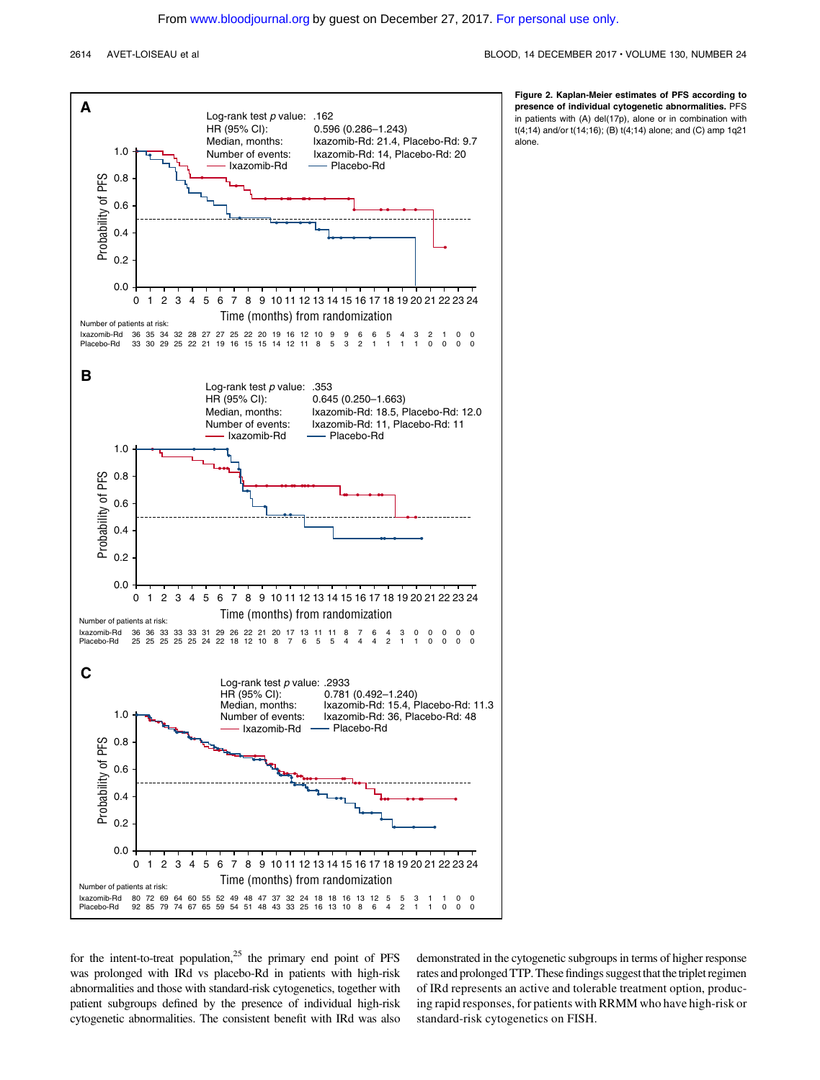2614 AVET-LOISEAU et al BLOOD, 14 DECEMBER 2017 · VOLUME 130, NUMBER 24



for the intent-to-treat population, $25$  the primary end point of PFS was prolonged with IRd vs placebo-Rd in patients with high-risk abnormalities and those with standard-risk cytogenetics, together with patient subgroups defined by the presence of individual high-risk cytogenetic abnormalities. The consistent benefit with IRd was also

demonstrated in the cytogenetic subgroups in terms of higher response rates and prolonged TTP. These findings suggest that the triplet regimen of IRd represents an active and tolerable treatment option, producing rapid responses, for patients with RRMM who have high-risk or standard-risk cytogenetics on FISH.

Figure 2. Kaplan-Meier estimates of PFS according to presence of individual cytogenetic abnormalities. PFS in patients with (A) del(17p), alone or in combination with t(4;14) and/or t(14;16); (B) t(4;14) alone; and (C) amp 1q21 alone.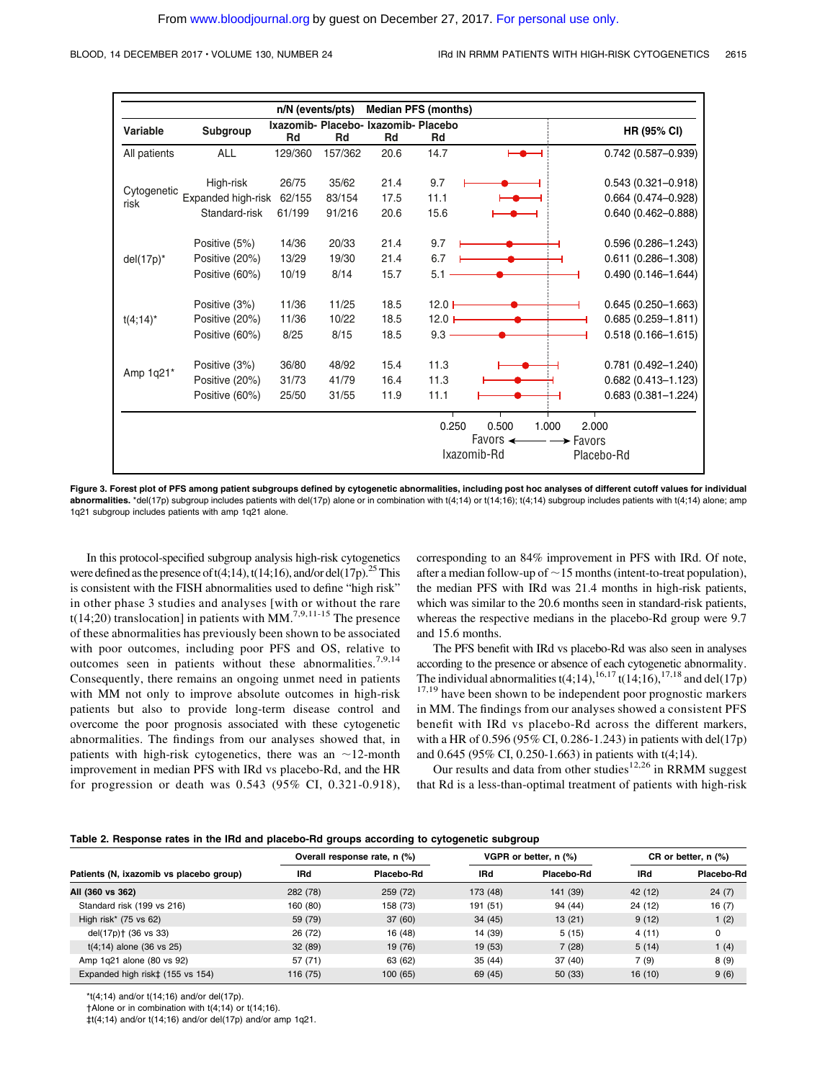|              | <b>Median PFS (months)</b><br>n/N (events/pts) |                  |                  |                                            |              |                                             |                                        |                                                  |  |
|--------------|------------------------------------------------|------------------|------------------|--------------------------------------------|--------------|---------------------------------------------|----------------------------------------|--------------------------------------------------|--|
| Variable     | Subgroup                                       | Rd               | Rd               | Ixazomib- Placebo- Ixazomib- Placebo<br>Rd | Rd           |                                             |                                        | <b>HR (95% CI)</b>                               |  |
| All patients | <b>ALL</b>                                     | 129/360          | 157/362          | 20.6                                       | 14.7         |                                             |                                        | $0.742(0.587 - 0.939)$                           |  |
| Cytogenetic  | High-risk                                      | 26/75            | 35/62            | 21.4                                       | 9.7          |                                             |                                        | $0.543(0.321 - 0.918)$                           |  |
| risk         | Expanded high-risk<br>Standard-risk            | 62/155<br>61/199 | 83/154<br>91/216 | 17.5<br>20.6                               | 11.1<br>15.6 |                                             |                                        | $0.664(0.474 - 0.928)$<br>$0.640(0.462 - 0.888)$ |  |
|              |                                                |                  |                  |                                            |              |                                             |                                        |                                                  |  |
|              | Positive (5%)                                  | 14/36            | 20/33            | 21.4                                       | 9.7          |                                             |                                        | $0.596(0.286 - 1.243)$                           |  |
| $del(17p)^*$ | Positive (20%)                                 | 13/29            | 19/30            | 21.4                                       | 6.7          |                                             |                                        | $0.611(0.286 - 1.308)$                           |  |
|              | Positive (60%)                                 | 10/19            | 8/14             | 15.7                                       | 5.1          |                                             |                                        | $0.490(0.146 - 1.644)$                           |  |
|              | Positive (3%)                                  | 11/36            | 11/25            | 18.5                                       | $12.0+$      |                                             |                                        | $0.645(0.250 - 1.663)$                           |  |
| $t(4;14)^*$  | Positive (20%)                                 | 11/36            | 10/22            | 18.5                                       | 12.0         |                                             |                                        | $0.685(0.259 - 1.811)$                           |  |
|              | Positive (60%)                                 | 8/25             | 8/15             | 18.5                                       | 9.3          |                                             |                                        | $0.518(0.166 - 1.615)$                           |  |
|              | Positive (3%)                                  | 36/80            | 48/92            | 15.4                                       | 11.3         |                                             |                                        | $0.781(0.492 - 1.240)$                           |  |
| Amp 1q21*    | Positive (20%)                                 | 31/73            | 41/79            | 16.4                                       | 11.3         |                                             |                                        | $0.682(0.413 - 1.123)$                           |  |
|              | Positive (60%)                                 | 25/50            | 31/55            | 11.9                                       | 11.1         |                                             |                                        | $0.683(0.381 - 1.224)$                           |  |
|              |                                                |                  |                  |                                            | 0.250        | 0.500<br>Favors $\leftarrow$<br>Ixazomib-Rd | 1.000<br>2.000<br>$\rightarrow$ Favors | Placebo-Rd                                       |  |

Figure 3. Forest plot of PFS among patient subgroups defined by cytogenetic abnormalities, including post hoc analyses of different cutoff values for individual abnormalities. \*del(17p) subgroup includes patients with del(17p) alone or in combination with t(4;14) or t(14;16); t(4;14) subgroup includes patients with t(4;14) alone; amp 1q21 subgroup includes patients with amp 1q21 alone.

In this protocol-specified subgroup analysis high-risk cytogenetics were defined as the presence of  $t(4;14)$ ,  $t(14;16)$ , and/or del(17p).<sup>25</sup> This is consistent with the FISH abnormalities used to define "high risk" in other phase 3 studies and analyses [with or without the rare t(14;20) translocation] in patients with MM.<sup>7,9,11-15</sup> The presence of these abnormalities has previously been shown to be associated with poor outcomes, including poor PFS and OS, relative to outcomes seen in patients without these abnormalities.<sup>7,9,14</sup> Consequently, there remains an ongoing unmet need in patients with MM not only to improve absolute outcomes in high-risk patients but also to provide long-term disease control and overcome the poor prognosis associated with these cytogenetic abnormalities. The findings from our analyses showed that, in patients with high-risk cytogenetics, there was an  $\sim$ 12-month improvement in median PFS with IRd vs placebo-Rd, and the HR for progression or death was 0.543 (95% CI, 0.321-0.918), corresponding to an 84% improvement in PFS with IRd. Of note, after a median follow-up of  $\sim$  15 months (intent-to-treat population), the median PFS with IRd was 21.4 months in high-risk patients, which was similar to the 20.6 months seen in standard-risk patients, whereas the respective medians in the placebo-Rd group were 9.7 and 15.6 months.

The PFS benefit with IRd vs placebo-Rd was also seen in analyses according to the presence or absence of each cytogenetic abnormality. The individual abnormalities t(4;14),<sup>16,17</sup> t(14;16),<sup>17,18</sup> and del(17p)  $17,19$  have been shown to be independent poor prognostic markers in MM. The findings from our analyses showed a consistent PFS benefit with IRd vs placebo-Rd across the different markers, with a HR of 0.596 (95% CI, 0.286-1.243) in patients with del(17p) and 0.645 (95% CI, 0.250-1.663) in patients with t(4;14).

Our results and data from other studies<sup>12,26</sup> in RRMM suggest that Rd is a less-than-optimal treatment of patients with high-risk

| Table 2. Response rates in the IRd and placebo-Rd groups according to cytogenetic subgroup |  |  |  |  |  |  |  |  |  |  |  |  |  |  |  |  |
|--------------------------------------------------------------------------------------------|--|--|--|--|--|--|--|--|--|--|--|--|--|--|--|--|
|--------------------------------------------------------------------------------------------|--|--|--|--|--|--|--|--|--|--|--|--|--|--|--|--|

|                                         |          | Overall response rate, n (%) |          | VGPR or better, n (%) | CR or better, n (%) |            |  |
|-----------------------------------------|----------|------------------------------|----------|-----------------------|---------------------|------------|--|
| Patients (N, ixazomib vs placebo group) | IRd      | Placebo-Rd                   | IRd      | Placebo-Rd            | IRd                 | Placebo-Rd |  |
| All (360 vs 362)                        | 282 (78) | 259 (72)                     | 173 (48) | 141 (39)              | 42(12)              | 24(7)      |  |
| Standard risk (199 vs 216)              | 160 (80) | 158 (73)                     | 191 (51) | 94 (44)               | 24 (12)             | 16(7)      |  |
| High risk* $(75 \text{ vs } 62)$        | 59 (79)  | 37(60)                       | 34(45)   | 13(21)                | 9(12)               | 1(2)       |  |
| del(17p)† (36 vs 33)                    | 26 (72)  | 16 (48)                      | 14 (39)  | 5(15)                 | 4(11)               | 0          |  |
| $t(4;14)$ alone (36 vs 25)              | 32(89)   | 19 (76)                      | 19(53)   | 7(28)                 | 5(14)               | 1 $(4)$    |  |
| Amp 1q21 alone (80 vs 92)               | 57 (71)  | 63 (62)                      | 35(44)   | 37(40)                | 7 (9)               | 8(9)       |  |
| Expanded high risk‡ (155 vs 154)        | 116 (75) | 100(65)                      | 69 (45)  | 50 (33)               | 16(10)              | 9(6)       |  |

\*t(4;14) and/or t(14;16) and/or del(17p).

†Alone or in combination with t(4;14) or t(14;16).

‡t(4;14) and/or t(14;16) and/or del(17p) and/or amp 1q21.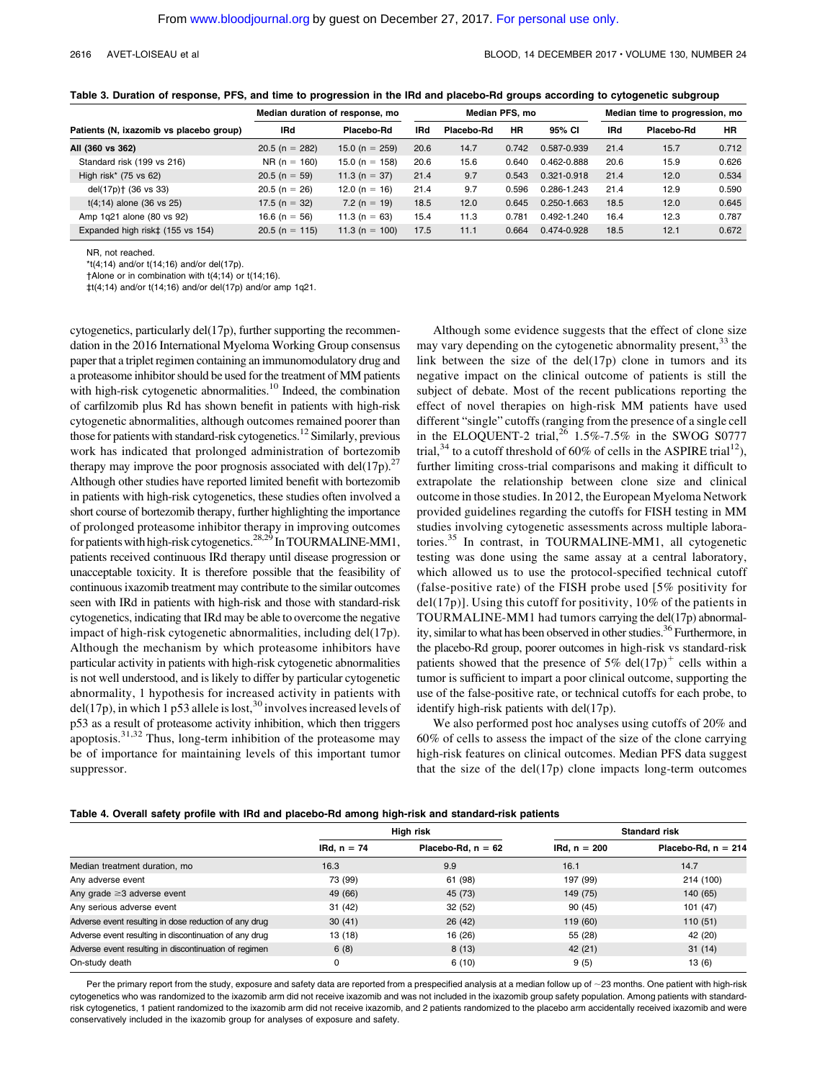|                                         | Median duration of response, mo |                  |            | <b>Median PFS, mo</b> |       |                 |      | Median time to progression, mo |       |  |
|-----------------------------------------|---------------------------------|------------------|------------|-----------------------|-------|-----------------|------|--------------------------------|-------|--|
| Patients (N, ixazomib vs placebo group) | IRd                             | Placebo-Rd       | <b>IRd</b> | Placebo-Rd            | ΗR    | 95% CI          | IRd  | Placebo-Rd                     | HR    |  |
| All (360 vs 362)                        | $20.5(n = 282)$                 | 15.0 (n = 259)   | 20.6       | 14.7                  | 0.742 | 0.587-0.939     | 21.4 | 15.7                           | 0.712 |  |
| Standard risk (199 vs 216)              | $NR (n = 160)$                  | $15.0(n = 158)$  | 20.6       | 15.6                  | 0.640 | 0.462-0.888     | 20.6 | 15.9                           | 0.626 |  |
| High risk* $(75 \text{ vs } 62)$        | $20.5(n = 59)$                  | 11.3 (n = 37)    | 21.4       | 9.7                   | 0.543 | $0.321 - 0.918$ | 21.4 | 12.0                           | 0.534 |  |
| del(17p)† (36 vs 33)                    | $20.5(n = 26)$                  | 12.0 (n = 16)    | 21.4       | 9.7                   | 0.596 | 0.286-1.243     | 21.4 | 12.9                           | 0.590 |  |
| $t(4;14)$ alone (36 vs 25)              | $17.5(n = 32)$                  | $7.2(n = 19)$    | 18.5       | 12.0                  | 0.645 | 0.250-1.663     | 18.5 | 12.0                           | 0.645 |  |
| Amp 1q21 alone (80 vs 92)               | 16.6 (n = 56)                   | 11.3 (n = $63$ ) | 15.4       | 11.3                  | 0.781 | $0.492 - 1.240$ | 16.4 | 12.3                           | 0.787 |  |
| Expanded high risk‡ (155 vs 154)        | $20.5(n = 115)$                 | $11.3(n = 100)$  | 17.5       | 11.1                  | 0.664 | 0.474-0.928     | 18.5 | 12.1                           | 0.672 |  |

Table 3. Duration of response, PFS, and time to progression in the IRd and placebo-Rd groups according to cytogenetic subgroup

NR, not reached.

\*t(4;14) and/or t(14;16) and/or del(17p).

†Alone or in combination with t(4;14) or t(14;16).

‡t(4;14) and/or t(14;16) and/or del(17p) and/or amp 1q21.

cytogenetics, particularly del(17p), further supporting the recommendation in the 2016 International Myeloma Working Group consensus paper that a triplet regimen containing an immunomodulatory drug and a proteasome inhibitor should be used for the treatment of MM patients with high-risk cytogenetic abnormalities.<sup>10</sup> Indeed, the combination of carfilzomib plus Rd has shown benefit in patients with high-risk cytogenetic abnormalities, although outcomes remained poorer than those for patients with standard-risk cytogenetics.<sup>12</sup> Similarly, previous work has indicated that prolonged administration of bortezomib therapy may improve the poor prognosis associated with del $(17p)^{27}$ Although other studies have reported limited benefit with bortezomib in patients with high-risk cytogenetics, these studies often involved a short course of bortezomib therapy, further highlighting the importance of prolonged proteasome inhibitor therapy in improving outcomes for patients with high-risk cytogenetics.<sup>28,29</sup> In TOURMALINE-MM1, patients received continuous IRd therapy until disease progression or unacceptable toxicity. It is therefore possible that the feasibility of continuous ixazomib treatment may contribute to the similar outcomes seen with IRd in patients with high-risk and those with standard-risk cytogenetics, indicating that IRd may be able to overcome the negative impact of high-risk cytogenetic abnormalities, including del(17p). Although the mechanism by which proteasome inhibitors have particular activity in patients with high-risk cytogenetic abnormalities is not well understood, and is likely to differ by particular cytogenetic abnormality, 1 hypothesis for increased activity in patients with del(17p), in which 1 p53 allele is lost,<sup>30</sup> involves increased levels of p53 as a result of proteasome activity inhibition, which then triggers apoptosis.31,32 Thus, long-term inhibition of the proteasome may be of importance for maintaining levels of this important tumor suppressor.

Although some evidence suggests that the effect of clone size may vary depending on the cytogenetic abnormality present,<sup>33</sup> the link between the size of the  $del(17p)$  clone in tumors and its negative impact on the clinical outcome of patients is still the subject of debate. Most of the recent publications reporting the effect of novel therapies on high-risk MM patients have used different "single" cutoffs (ranging from the presence of a single cell in the ELOQUENT-2 trial,<sup>26</sup> 1.5%-7.5% in the SWOG S0777 trial,<sup>34</sup> to a cutoff threshold of 60% of cells in the ASPIRE trial<sup>12</sup>), further limiting cross-trial comparisons and making it difficult to extrapolate the relationship between clone size and clinical outcome in those studies. In 2012, the European Myeloma Network provided guidelines regarding the cutoffs for FISH testing in MM studies involving cytogenetic assessments across multiple laboratories.<sup>35</sup> In contrast, in TOURMALINE-MM1, all cytogenetic testing was done using the same assay at a central laboratory, which allowed us to use the protocol-specified technical cutoff (false-positive rate) of the FISH probe used [5% positivity for  $del(17p)$ ]. Using this cutoff for positivity, 10% of the patients in TOURMALINE-MM1 had tumors carrying the del(17p) abnormality, similar to what has been observed in other studies.<sup>36</sup> Furthermore, in the placebo-Rd group, poorer outcomes in high-risk vs standard-risk patients showed that the presence of 5% del(17p)<sup>+</sup> cells within a tumor is sufficient to impart a poor clinical outcome, supporting the use of the false-positive rate, or technical cutoffs for each probe, to identify high-risk patients with del(17p).

We also performed post hoc analyses using cutoffs of 20% and 60% of cells to assess the impact of the size of the clone carrying high-risk features on clinical outcomes. Median PFS data suggest that the size of the  $del(17p)$  clone impacts long-term outcomes

|  |  |  | Table 4. Overall safety profile with IRd and placebo-Rd among high-risk and standard-risk patients |  |
|--|--|--|----------------------------------------------------------------------------------------------------|--|
|  |  |  |                                                                                                    |  |

|                                                        |               | High risk            | <b>Standard risk</b> |                       |  |
|--------------------------------------------------------|---------------|----------------------|----------------------|-----------------------|--|
|                                                        | IRd, $n = 74$ | Placebo-Rd, $n = 62$ | $IRd, n = 200$       | Placebo-Rd, $n = 214$ |  |
| Median treatment duration, mo                          | 16.3          | 9.9                  | 16.1                 | 14.7                  |  |
| Any adverse event                                      | 73 (99)       | 61 (98)              | 197 (99)             | 214 (100)             |  |
| Any grade $\geq$ 3 adverse event                       | 49 (66)       | 45 (73)              | 149 (75)             | 140 (65)              |  |
| Any serious adverse event                              | 31(42)        | 32(52)               | 90 (45)              | 101 (47)              |  |
| Adverse event resulting in dose reduction of any drug  | 30(41)        | 26(42)               | 119 (60)             | 110(51)               |  |
| Adverse event resulting in discontinuation of any drug | 13 (18)       | 16 (26)              | 55 (28)              | 42 (20)               |  |
| Adverse event resulting in discontinuation of regimen  | 6(8)          | 8(13)                | 42 (21)              | 31(14)                |  |
| On-study death                                         | 0             | 6(10)                | 9(5)                 | 13(6)                 |  |

Per the primary report from the study, exposure and safety data are reported from a prespecified analysis at a median follow up of  $\sim$  23 months. One patient with high-risk cytogenetics who was randomized to the ixazomib arm did not receive ixazomib and was not included in the ixazomib group safety population. Among patients with standardrisk cytogenetics, 1 patient randomized to the ixazomib arm did not receive ixazomib, and 2 patients randomized to the placebo arm accidentally received ixazomib and were conservatively included in the ixazomib group for analyses of exposure and safety.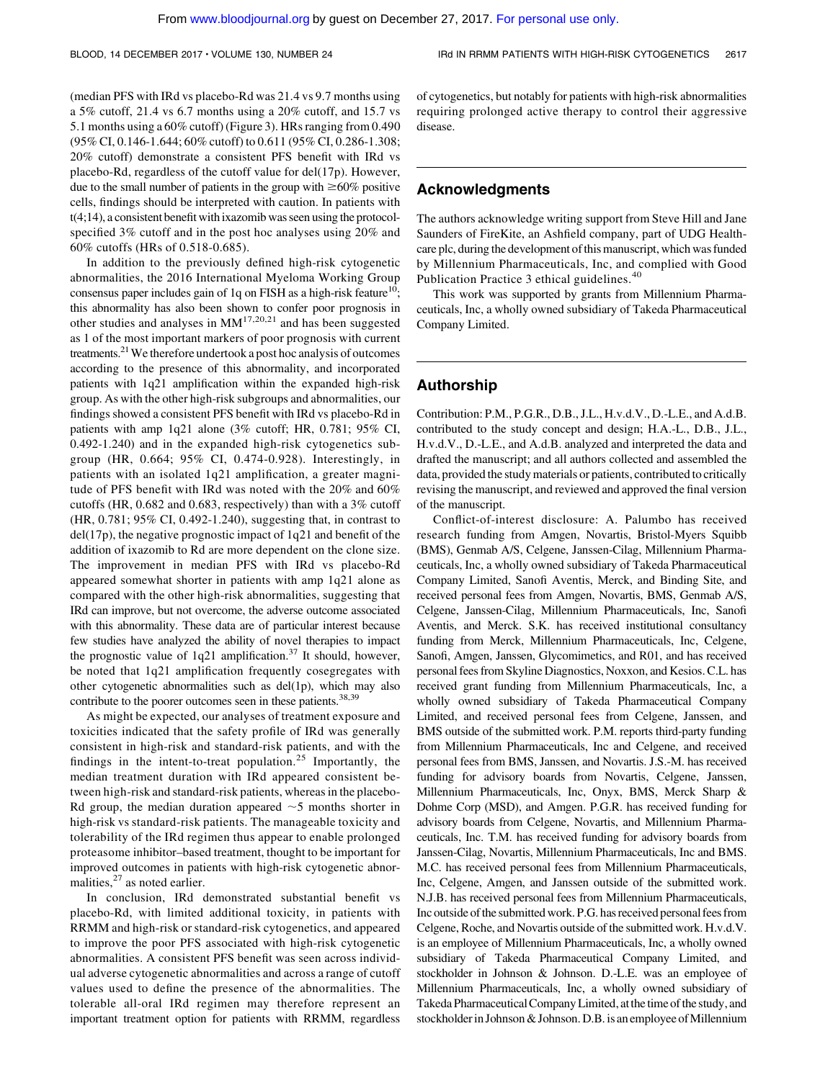(median PFS with IRd vs placebo-Rd was 21.4 vs 9.7 months using a 5% cutoff, 21.4 vs 6.7 months using a 20% cutoff, and 15.7 vs 5.1 months using a 60% cutoff) (Figure 3). HRs ranging from 0.490 (95% CI, 0.146-1.644; 60% cutoff) to 0.611 (95% CI, 0.286-1.308; 20% cutoff) demonstrate a consistent PFS benefit with IRd vs placebo-Rd, regardless of the cutoff value for del(17p). However, due to the small number of patients in the group with  $\geq 60\%$  positive cells, findings should be interpreted with caution. In patients with t(4;14), a consistent benefit withixazomib was seen using the protocolspecified 3% cutoff and in the post hoc analyses using 20% and 60% cutoffs (HRs of 0.518-0.685).

In addition to the previously defined high-risk cytogenetic abnormalities, the 2016 International Myeloma Working Group consensus paper includes gain of 1q on FISH as a high-risk feature<sup>10</sup>; this abnormality has also been shown to confer poor prognosis in other studies and analyses in  $MM^{17,20,21}$  and has been suggested as 1 of the most important markers of poor prognosis with current treatments.21We therefore undertook a post hoc analysis of outcomes according to the presence of this abnormality, and incorporated patients with 1q21 amplification within the expanded high-risk group. As with the other high-risk subgroups and abnormalities, our findings showed a consistent PFS benefit with IRd vs placebo-Rd in patients with amp 1q21 alone (3% cutoff; HR, 0.781; 95% CI, 0.492-1.240) and in the expanded high-risk cytogenetics subgroup (HR, 0.664; 95% CI, 0.474-0.928). Interestingly, in patients with an isolated 1q21 amplification, a greater magnitude of PFS benefit with IRd was noted with the 20% and 60% cutoffs (HR, 0.682 and 0.683, respectively) than with a 3% cutoff (HR, 0.781; 95% CI, 0.492-1.240), suggesting that, in contrast to del(17p), the negative prognostic impact of 1q21 and benefit of the addition of ixazomib to Rd are more dependent on the clone size. The improvement in median PFS with IRd vs placebo-Rd appeared somewhat shorter in patients with amp 1q21 alone as compared with the other high-risk abnormalities, suggesting that IRd can improve, but not overcome, the adverse outcome associated with this abnormality. These data are of particular interest because few studies have analyzed the ability of novel therapies to impact the prognostic value of  $1q21$  amplification.<sup>37</sup> It should, however, be noted that 1q21 amplification frequently cosegregates with other cytogenetic abnormalities such as del(1p), which may also contribute to the poorer outcomes seen in these patients.<sup>38,39</sup>

As might be expected, our analyses of treatment exposure and toxicities indicated that the safety profile of IRd was generally consistent in high-risk and standard-risk patients, and with the findings in the intent-to-treat population.<sup>25</sup> Importantly, the median treatment duration with IRd appeared consistent between high-risk and standard-risk patients, whereas in the placebo-Rd group, the median duration appeared  $\sim$  5 months shorter in high-risk vs standard-risk patients. The manageable toxicity and tolerability of the IRd regimen thus appear to enable prolonged proteasome inhibitor–based treatment, thought to be important for improved outcomes in patients with high-risk cytogenetic abnormalities, $27$  as noted earlier.

In conclusion, IRd demonstrated substantial benefit vs placebo-Rd, with limited additional toxicity, in patients with RRMM and high-risk or standard-risk cytogenetics, and appeared to improve the poor PFS associated with high-risk cytogenetic abnormalities. A consistent PFS benefit was seen across individual adverse cytogenetic abnormalities and across a range of cutoff values used to define the presence of the abnormalities. The tolerable all-oral IRd regimen may therefore represent an important treatment option for patients with RRMM, regardless

of cytogenetics, but notably for patients with high-risk abnormalities requiring prolonged active therapy to control their aggressive disease.

### Acknowledgments

The authors acknowledge writing support from Steve Hill and Jane Saunders of FireKite, an Ashfield company, part of UDG Healthcare plc, during the development of this manuscript, which was funded by Millennium Pharmaceuticals, Inc, and complied with Good Publication Practice 3 ethical guidelines.<sup>40</sup>

This work was supported by grants from Millennium Pharmaceuticals, Inc, a wholly owned subsidiary of Takeda Pharmaceutical Company Limited.

### Authorship

Contribution: P.M., P.G.R., D.B., J.L., H.v.d.V., D.-L.E., and A.d.B. contributed to the study concept and design; H.A.-L., D.B., J.L., H.v.d.V., D.-L.E., and A.d.B. analyzed and interpreted the data and drafted the manuscript; and all authors collected and assembled the data, provided the study materials or patients, contributed to critically revising the manuscript, and reviewed and approved the final version of the manuscript.

Conflict-of-interest disclosure: A. Palumbo has received research funding from Amgen, Novartis, Bristol-Myers Squibb (BMS), Genmab A/S, Celgene, Janssen-Cilag, Millennium Pharmaceuticals, Inc, a wholly owned subsidiary of Takeda Pharmaceutical Company Limited, Sanofi Aventis, Merck, and Binding Site, and received personal fees from Amgen, Novartis, BMS, Genmab A/S, Celgene, Janssen-Cilag, Millennium Pharmaceuticals, Inc, Sanofi Aventis, and Merck. S.K. has received institutional consultancy funding from Merck, Millennium Pharmaceuticals, Inc, Celgene, Sanofi, Amgen, Janssen, Glycomimetics, and R01, and has received personal fees from Skyline Diagnostics, Noxxon, and Kesios. C.L. has received grant funding from Millennium Pharmaceuticals, Inc, a wholly owned subsidiary of Takeda Pharmaceutical Company Limited, and received personal fees from Celgene, Janssen, and BMS outside of the submitted work. P.M. reports third-party funding from Millennium Pharmaceuticals, Inc and Celgene, and received personal fees from BMS, Janssen, and Novartis. J.S.-M. has received funding for advisory boards from Novartis, Celgene, Janssen, Millennium Pharmaceuticals, Inc, Onyx, BMS, Merck Sharp & Dohme Corp (MSD), and Amgen. P.G.R. has received funding for advisory boards from Celgene, Novartis, and Millennium Pharmaceuticals, Inc. T.M. has received funding for advisory boards from Janssen-Cilag, Novartis, Millennium Pharmaceuticals, Inc and BMS. M.C. has received personal fees from Millennium Pharmaceuticals, Inc, Celgene, Amgen, and Janssen outside of the submitted work. N.J.B. has received personal fees from Millennium Pharmaceuticals, Inc outside of the submitted work. P.G. has received personal fees from Celgene, Roche, and Novartis outside of the submitted work. H.v.d.V. is an employee of Millennium Pharmaceuticals, Inc, a wholly owned subsidiary of Takeda Pharmaceutical Company Limited, and stockholder in Johnson & Johnson. D.-L.E. was an employee of Millennium Pharmaceuticals, Inc, a wholly owned subsidiary of Takeda PharmaceuticalCompany Limited, atthe time of the study, and stockholder in Johnson & Johnson. D.B. is an employee of Millennium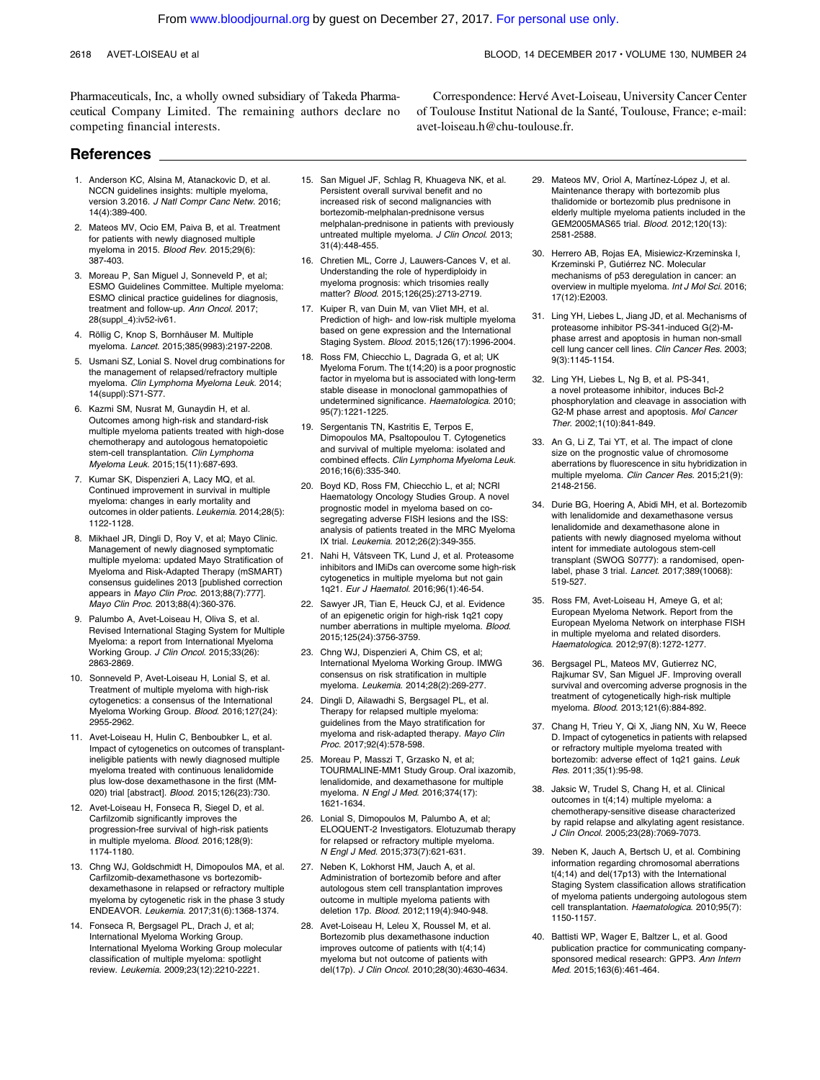### 2618 AVET-LOISEAU et al BLOOD, 14 DECEMBER 2017 · VOLUME 130, NUMBER 24

Pharmaceuticals, Inc, a wholly owned subsidiary of Takeda Pharmaceutical Company Limited. The remaining authors declare no competing financial interests.

Correspondence: Hervé Avet-Loiseau, University Cancer Center of Toulouse Institut National de la Sante, Toulouse, France; e-mail: ´ [avet-loiseau.h@chu-toulouse.fr.](mailto:avet-loiseau.h@chu-toulouse.fr)

### References

- 1. Anderson KC, Alsina M, Atanackovic D, et al. NCCN guidelines insights: multiple myeloma, version 3.2016. J Natl Compr Canc Netw. 2016; 14(4):389-400.
- 2. Mateos MV, Ocio EM, Paiva B, et al. Treatment for patients with newly diagnosed multiple myeloma in 2015. Blood Rev. 2015;29(6): 387-403.
- 3. Moreau P, San Miguel J, Sonneveld P, et al; ESMO Guidelines Committee. Multiple myeloma: ESMO clinical practice guidelines for diagnosis, treatment and follow-up. Ann Oncol. 2017; 28(suppl\_4):iv52-iv61.
- 4. Röllig C, Knop S, Bornhäuser M. Multiple myeloma. Lancet. 2015;385(9983):2197-2208.
- 5. Usmani SZ, Lonial S. Novel drug combinations for the management of relapsed/refractory multiple myeloma. Clin Lymphoma Myeloma Leuk. 2014; 14(suppl):S71-S77.
- Kazmi SM, Nusrat M, Gunaydin H, et al. Outcomes among high-risk and standard-risk multiple myeloma patients treated with high-dose chemotherapy and autologous hematopoietic stem-cell transplantation. Clin Lymphoma Myeloma Leuk. 2015;15(11):687-693.
- 7. Kumar SK, Dispenzieri A, Lacy MQ, et al. Continued improvement in survival in multiple myeloma: changes in early mortality and outcomes in older patients. Leukemia. 2014;28(5): 1122-1128.
- 8. Mikhael JR, Dingli D, Roy V, et al; Mayo Clinic. Management of newly diagnosed symptomatic multiple myeloma: updated Mayo Stratification of Myeloma and Risk-Adapted Therapy (mSMART) consensus guidelines 2013 [published correction appears in Mayo Clin Proc. 2013;88(7):777]. Mayo Clin Proc. 2013;88(4):360-376.
- 9. Palumbo A, Avet-Loiseau H, Oliva S, et al. Revised International Staging System for Multiple Myeloma: a report from International Myeloma Working Group. J Clin Oncol. 2015;33(26): 2863-2869.
- 10. Sonneveld P, Avet-Loiseau H, Lonial S, et al. Treatment of multiple myeloma with high-risk cytogenetics: a consensus of the International Myeloma Working Group. Blood. 2016;127(24): 2955-2962.
- 11. Avet-Loiseau H, Hulin C, Benboubker L, et al. Impact of cytogenetics on outcomes of transplantineligible patients with newly diagnosed multiple myeloma treated with continuous lenalidomide plus low-dose dexamethasone in the first (MM-020) trial [abstract]. Blood. 2015;126(23):730.
- 12. Avet-Loiseau H, Fonseca R, Siegel D, et al. Carfilzomib significantly improves the progression-free survival of high-risk patients in multiple myeloma. Blood. 2016;128(9): 1174-1180.
- 13. Chng WJ, Goldschmidt H, Dimopoulos MA, et al. Carfilzomib-dexamethasone vs bortezomibdexamethasone in relapsed or refractory multiple myeloma by cytogenetic risk in the phase 3 study ENDEAVOR. Leukemia. 2017;31(6):1368-1374.
- 14. Fonseca R, Bergsagel PL, Drach J, et al; International Myeloma Working Group. International Myeloma Working Group molecular classification of multiple myeloma: spotlight review. Leukemia. 2009;23(12):2210-2221.
- 15. San Miguel JF, Schlag R, Khuageva NK, et al. Persistent overall survival benefit and no increased risk of second malignancies with bortezomib-melphalan-prednisone versus melphalan-prednisone in patients with previously untreated multiple myeloma. J Clin Oncol. 2013; 31(4):448-455.
- 16. Chretien ML, Corre J, Lauwers-Cances V, et al. Understanding the role of hyperdiploidy in myeloma prognosis: which trisomies really matter? Blood. 2015;126(25):2713-2719.
- 17. Kuiper R, van Duin M, van Vliet MH, et al. Prediction of high- and low-risk multiple myeloma based on gene expression and the International Staging System. Blood. 2015;126(17):1996-2004.
- 18. Ross FM, Chiecchio L, Dagrada G, et al; UK Myeloma Forum. The t(14;20) is a poor prognostic factor in myeloma but is associated with long-term stable disease in monoclonal gammopathies of undetermined significance. Haematologica. 2010; 95(7):1221-1225.
- 19. Sergentanis TN, Kastritis E, Terpos E, Dimopoulos MA, Psaltopoulou T. Cytogenetics and survival of multiple myeloma: isolated and combined effects. Clin Lymphoma Myeloma Leuk. 2016;16(6):335-340.
- 20. Boyd KD, Ross FM, Chiecchio L, et al; NCRI Haematology Oncology Studies Group. A novel prognostic model in myeloma based on cosegregating adverse FISH lesions and the ISS: analysis of patients treated in the MRC Myeloma IX trial. Leukemia. 2012;26(2):349-355.
- 21. Nahi H, Våtsveen TK, Lund J, et al. Proteasome inhibitors and IMiDs can overcome some high-risk cytogenetics in multiple myeloma but not gain 1q21. Eur J Haematol. 2016;96(1):46-54.
- 22. Sawyer JR, Tian E, Heuck CJ, et al. Evidence of an epigenetic origin for high-risk 1q21 copy number aberrations in multiple myeloma. Blood. 2015;125(24):3756-3759.
- 23. Chng WJ, Dispenzieri A, Chim CS, et al; International Myeloma Working Group. IMWG consensus on risk stratification in multiple myeloma. Leukemia. 2014;28(2):269-277.
- 24. Dingli D, Ailawadhi S, Bergsagel PL, et al. Therapy for relapsed multiple myeloma: guidelines from the Mayo stratification for myeloma and risk-adapted therapy. Mayo Clin Proc. 2017;92(4):578-598.
- 25. Moreau P, Masszi T, Grzasko N, et al; TOURMALINE-MM1 Study Group. Oral ixazomib, lenalidomide, and dexamethasone for multiple myeloma. N Engl J Med. 2016;374(17): 1621-1634.
- 26. Lonial S, Dimopoulos M, Palumbo A, et al; ELOQUENT-2 Investigators. Elotuzumab therapy for relapsed or refractory multiple myeloma. N Engl J Med. 2015;373(7):621-631.
- 27. Neben K, Lokhorst HM, Jauch A, et al. Administration of bortezomib before and after autologous stem cell transplantation improves outcome in multiple myeloma patients with deletion 17p. Blood. 2012;119(4):940-948.
- 28. Avet-Loiseau H, Leleu X, Roussel M, et al. Bortezomib plus dexamethasone induction improves outcome of patients with t(4;14) myeloma but not outcome of patients with del(17p). J Clin Oncol. 2010;28(30):4630-4634.
- 29. Mateos MV, Oriol A, Martínez-López J, et al. Maintenance therapy with bortezomib plus thalidomide or bortezomib plus prednisone in elderly multiple myeloma patients included in the GEM2005MAS65 trial. Blood. 2012;120(13): 2581-2588.
- 30. Herrero AB, Rojas EA, Misiewicz-Krzeminska I, Krzeminski P, Gutiérrez NC. Molecular mechanisms of p53 deregulation in cancer: an overview in multiple myeloma. Int J Mol Sci. 2016; 17(12):E2003.
- 31. Ling YH, Liebes L, Jiang JD, et al. Mechanisms of proteasome inhibitor PS-341-induced G(2)-Mphase arrest and apoptosis in human non-small cell lung cancer cell lines. Clin Cancer Res. 2003; 9(3):1145-1154.
- 32. Ling YH, Liebes L, Ng B, et al. PS-341, a novel proteasome inhibitor, induces Bcl-2 phosphorylation and cleavage in association with G2-M phase arrest and apoptosis. Mol Cancer Ther. 2002;1(10):841-849.
- 33. An G, Li Z, Tai YT, et al. The impact of clone size on the prognostic value of chromosome aberrations by fluorescence in situ hybridization in multiple myeloma. Clin Cancer Res. 2015;21(9): 2148-2156.
- 34. Durie BG, Hoering A, Abidi MH, et al. Bortezomib with lenalidomide and dexamethasone versus lenalidomide and dexamethasone alone in patients with newly diagnosed myeloma without intent for immediate autologous stem-cell transplant (SWOG S0777): a randomised, openlabel, phase 3 trial. Lancet. 2017;389(10068): 519-527.
- Ross FM, Avet-Loiseau H, Ameye G, et al; European Myeloma Network. Report from the European Myeloma Network on interphase FISH in multiple myeloma and related disorders. Haematologica. 2012;97(8):1272-1277.
- 36. Bergsagel PL, Mateos MV, Gutierrez NC, Rajkumar SV, San Miguel JF. Improving overall survival and overcoming adverse prognosis in the treatment of cytogenetically high-risk multiple myeloma. Blood. 2013;121(6):884-892.
- 37. Chang H, Trieu Y, Qi X, Jiang NN, Xu W, Reece D. Impact of cytogenetics in patients with relapsed or refractory multiple myeloma treated with bortezomib: adverse effect of 1q21 gains. Leuk Res. 2011;35(1):95-98.
- 38. Jaksic W, Trudel S, Chang H, et al. Clinical outcomes in t(4;14) multiple myeloma: a chemotherapy-sensitive disease characterized by rapid relapse and alkylating agent resistance. J Clin Oncol. 2005;23(28):7069-7073.
- 39. Neben K, Jauch A, Bertsch U, et al. Combining information regarding chromosomal aberrations t(4;14) and del(17p13) with the International Staging System classification allows stratification of myeloma patients undergoing autologous stem cell transplantation. Haematologica. 2010;95(7): 1150-1157.
- 40. Battisti WP, Wager E, Baltzer L, et al. Good publication practice for communicating companysponsored medical research: GPP3. Ann Intern Med. 2015;163(6):461-464.